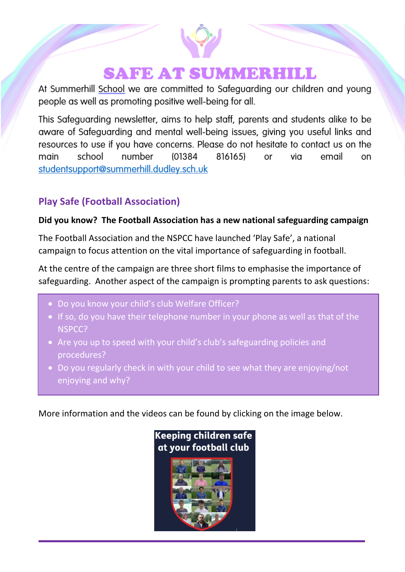# **SAFE AT SUMMERHILL**

At Summerhill School we are committed to Safeguarding our children and young people as well as promoting positive well-being for all.

This Safeguarding newsletter, aims to help staff, parents and students alike to be aware of Safeguarding and mental well-being issues, giving you useful links and resources to use if you have concerns. Please do not hesitate to contact us on the school number (01384 816165) via email main or on studentsupport@summerhill.dudley.sch.uk

### **Play Safe (Football Association)**

#### **Did you know? The Football Association has a new national safeguarding campaign**

The Football Association and the NSPCC have launched 'Play Safe', a national campaign to focus attention on the vital importance of safeguarding in football.

At the centre of the campaign are three short films to emphasise the importance of safeguarding. Another aspect of the campaign is prompting parents to ask questions:

- Do you know your child's club Welfare Officer?
- If so, do you have their telephone number in your phone as well as that of the NSPCC?
- Are you up to speed with your child's club's safeguarding policies and procedures?
- Do you regularly check in with your child to see what they are enjoying/not enjoying and why?

More information and the videos can be found by clicking on the image below.

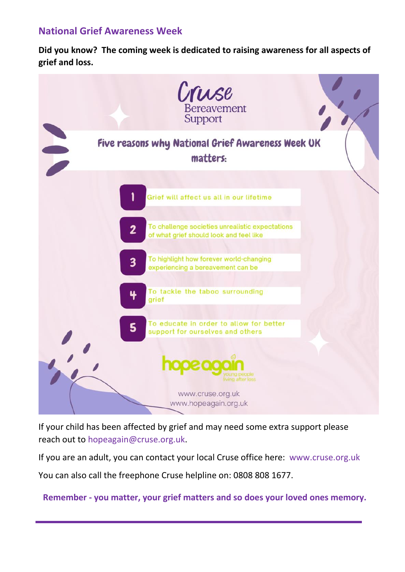#### **National Grief Awareness Week**

**Did you know? The coming week is dedicated to raising awareness for all aspects of grief and loss.**



If your child has been affected by grief and may need some extra support please reach out to [hopeagain@cruse.org.uk.](mailto:hopeagain@cruse.org.uk)

If you are an adult, you can contact your local Cruse office here: [www.cruse.org.uk](http://www.cruse.org.uk/)

You can also call the freephone Cruse helpline on: 0808 808 1677.

**Remember - you matter, your grief matters and so does your loved ones memory.**